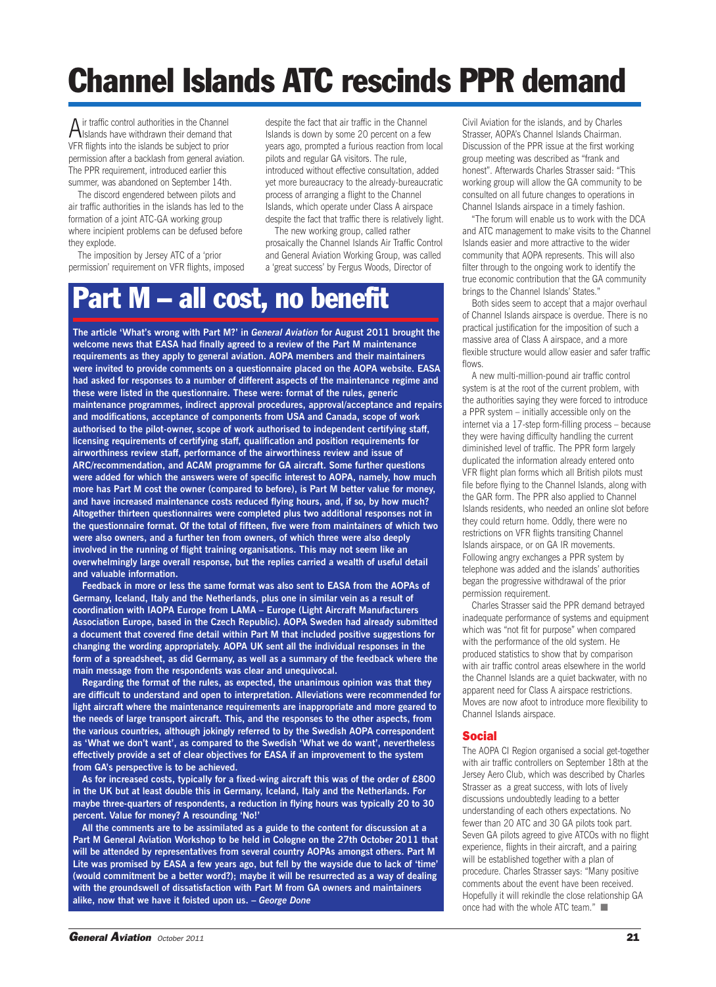# **Channel Islands ATC rescinds PPR demand**

 $A$  ir traffic control authorities in the Channel<br>Islands have withdrawn their demand that VFR flights into the islands be subject to prior permission after a backlash from general aviation. The PPR requirement, introduced earlier this summer, was abandoned on September 14th.

The discord engendered between pilots and air traffic authorities in the islands has led to the formation of a joint ATC-GA working group where incipient problems can be defused before they explode.

The imposition by Jersey ATC of a 'prior permission' requirement on VFR flights, imposed

despite the fact that air traffic in the Channel Islands is down by some 20 percent on a few years ago, prompted a furious reaction from local pilots and regular GA visitors. The rule, introduced without effective consultation, added yet more bureaucracy to the already-bureaucratic process of arranging a flight to the Channel Islands, which operate under Class A airspace despite the fact that traffic there is relatively light.

The new working group, called rather prosaically the Channel Islands Air Traffic Control and General Aviation Working Group, was called a 'great success' by Fergus Woods, Director of

### **Part M – all cost, no benefit**

**The article 'What's wrong with Part M?' in** *General Aviation* **for August 2011 brought the welcome news that EASA had finally agreed to a review of the Part M maintenance requirements as they apply to general aviation. AOPA members and their maintainers were invited to provide comments on a questionnaire placed on the AOPA website. EASA had asked for responses to a number of different aspects of the maintenance regime and these were listed in the questionnaire. These were: format of the rules, generic maintenance programmes, indirect approval procedures, approval/acceptance and repairs and modifications, acceptance of components from USA and Canada, scope of work authorised to the pilot-owner, scope of work authorised to independent certifying staff, licensing requirements of certifying staff, qualification and position requirements for airworthiness review staff, performance of the airworthiness review and issue of ARC/recommendation, and ACAM programme for GA aircraft. Some further questions were added for which the answers were of specific interest to AOPA, namely, how much more has Part M cost the owner (compared to before), is Part M better value for money, and have increased maintenance costs reduced flying hours, and, if so, by how much? Altogether thirteen questionnaires were completed plus two additional responses not in the questionnaire format. Of the total of fifteen, five were from maintainers of which two were also owners, and a further ten from owners, of which three were also deeply involved in the running of flight training organisations. This may not seem like an overwhelmingly large overall response, but the replies carried a wealth of useful detail and valuable information.**

**Feedback in more or less the same format was also sent to EASA from the AOPAs of Germany, Iceland, Italy and the Netherlands, plus one in similar vein as a result of coordination with IAOPA Europe from LAMA – Europe (Light Aircraft Manufacturers Association Europe, based in the Czech Republic). AOPA Sweden had already submitted a document that covered fine detail within Part M that included positive suggestions for changing the wording appropriately. AOPA UK sent all the individual responses in the form of a spreadsheet, as did Germany, as well as a summary of the feedback where the main message from the respondents was clear and unequivocal.**

**Regarding the format of the rules, as expected, the unanimous opinion was that they are difficult to understand and open to interpretation. Alleviations were recommended for light aircraft where the maintenance requirements are inappropriate and more geared to the needs of large transport aircraft. This, and the responses to the other aspects, from the various countries, although jokingly referred to by the Swedish AOPA correspondent as 'What we don't want', as compared to the Swedish 'What we do want', nevertheless effectively provide a set of clear objectives for EASA if an improvement to the system from GA's perspective is to be achieved.**

**As for increased costs, typically for a fixed-wing aircraft this was of the order of £800 in the UK but at least double this in Germany, Iceland, Italy and the Netherlands. For maybe three-quarters of respondents, a reduction in flying hours was typically 20 to 30 percent. Value for money? A resounding 'No!'**

**All the comments are to be assimilated as a guide to the content for discussion at a Part M General Aviation Workshop to be held in Cologne on the 27th October 2011 that will be attended by representatives from several country AOPAs amongst others. Part M Lite was promised by EASA a few years ago, but fell by the wayside due to lack of 'time' (would commitment be a better word?); maybe it will be resurrected as a way of dealing with the groundswell of dissatisfaction with Part M from GA owners and maintainers alike, now that we have it foisted upon us. –** *George Done*

Civil Aviation for the islands, and by Charles Strasser, AOPA's Channel Islands Chairman. Discussion of the PPR issue at the first working group meeting was described as "frank and honest". Afterwards Charles Strasser said: "This working group will allow the GA community to be consulted on all future changes to operations in Channel Islands airspace in a timely fashion.

"The forum will enable us to work with the DCA and ATC management to make visits to the Channel Islands easier and more attractive to the wider community that AOPA represents. This will also filter through to the ongoing work to identify the true economic contribution that the GA community brings to the Channel Islands' States."

Both sides seem to accept that a major overhaul of Channel Islands airspace is overdue. There is no practical justification for the imposition of such a massive area of Class A airspace, and a more flexible structure would allow easier and safer traffic flows.

A new multi-million-pound air traffic control system is at the root of the current problem, with the authorities saying they were forced to introduce a PPR system – initially accessible only on the internet via a 17-step form-filling process – because they were having difficulty handling the current diminished level of traffic. The PPR form largely duplicated the information already entered onto VFR flight plan forms which all British pilots must file before flying to the Channel Islands, along with the GAR form. The PPR also applied to Channel Islands residents, who needed an online slot before they could return home. Oddly, there were no restrictions on VFR flights transiting Channel Islands airspace, or on GA IR movements. Following angry exchanges a PPR system by telephone was added and the islands' authorities began the progressive withdrawal of the prior permission requirement.

Charles Strasser said the PPR demand betrayed inadequate performance of systems and equipment which was "not fit for purpose" when compared with the performance of the old system. He produced statistics to show that by comparison with air traffic control areas elsewhere in the world the Channel Islands are a quiet backwater, with no apparent need for Class A airspace restrictions. Moves are now afoot to introduce more flexibility to Channel Islands airspace.

#### **Social**

The AOPA CI Region organised a social get-together with air traffic controllers on September 18th at the Jersey Aero Club, which was described by Charles Strasser as a great success, with lots of lively discussions undoubtedly leading to a better understanding of each others expectations. No fewer than 20 ATC and 30 GA pilots took part. Seven GA pilots agreed to give ATCOs with no flight experience, flights in their aircraft, and a pairing will be established together with a plan of procedure. Charles Strasser says: "Many positive comments about the event have been received. Hopefully it will rekindle the close relationship GA once had with the whole ATC team." ■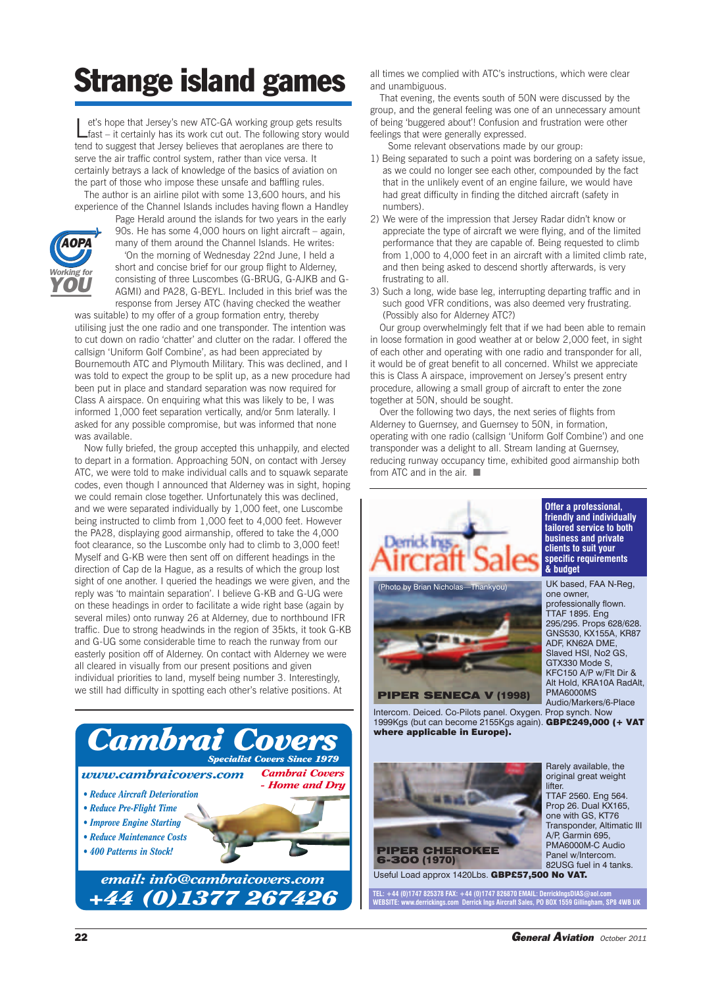## **Strange island games**

Let's hope that Jersey's new ATC-GA working group gets results fast – it certainly has its work cut out. The following story would tend to suggest that Jersey believes that aeroplanes are there to serve the air traffic control system, rather than vice versa. It certainly betrays a lack of knowledge of the basics of aviation on the part of those who impose these unsafe and baffling rules.

The author is an airline pilot with some 13,600 hours, and his experience of the Channel Islands includes having flown a Handley



Page Herald around the islands for two years in the early 90s. He has some 4,000 hours on light aircraft – again, many of them around the Channel Islands. He writes: 'On the morning of Wednesday 22nd June, I held a short and concise brief for our group flight to Alderney,

consisting of three Luscombes (G-BRUG, G-AJKB and G-AGMI) and PA28, G-BEYL. Included in this brief was the response from Jersey ATC (having checked the weather

was suitable) to my offer of a group formation entry, thereby utilising just the one radio and one transponder. The intention was to cut down on radio 'chatter' and clutter on the radar. I offered the callsign 'Uniform Golf Combine', as had been appreciated by Bournemouth ATC and Plymouth Military. This was declined, and I was told to expect the group to be split up, as a new procedure had been put in place and standard separation was now required for Class A airspace. On enquiring what this was likely to be, I was informed 1,000 feet separation vertically, and/or 5nm laterally. I asked for any possible compromise, but was informed that none was available.

Now fully briefed, the group accepted this unhappily, and elected to depart in a formation. Approaching 50N, on contact with Jersey ATC, we were told to make individual calls and to squawk separate codes, even though I announced that Alderney was in sight, hoping we could remain close together. Unfortunately this was declined, and we were separated individually by 1,000 feet, one Luscombe being instructed to climb from 1,000 feet to 4,000 feet. However the PA28, displaying good airmanship, offered to take the 4,000 foot clearance, so the Luscombe only had to climb to 3,000 feet! Myself and G-KB were then sent off on different headings in the direction of Cap de la Hague, as a results of which the group lost sight of one another. I queried the headings we were given, and the reply was 'to maintain separation'. I believe G-KB and G-UG were on these headings in order to facilitate a wide right base (again by several miles) onto runway 26 at Alderney, due to northbound IFR traffic. Due to strong headwinds in the region of 35kts, it took G-KB and G-UG some considerable time to reach the runway from our easterly position off of Alderney. On contact with Alderney we were all cleared in visually from our present positions and given individual priorities to land, myself being number 3. Interestingly, we still had difficulty in spotting each other's relative positions. At



all times we complied with ATC's instructions, which were clear and unambiguous.

That evening, the events south of 50N were discussed by the group, and the general feeling was one of an unnecessary amount of being 'buggered about'! Confusion and frustration were other feelings that were generally expressed.

Some relevant observations made by our group:

- 1) Being separated to such a point was bordering on a safety issue, as we could no longer see each other, compounded by the fact that in the unlikely event of an engine failure, we would have had great difficulty in finding the ditched aircraft (safety in numbers).
- 2) We were of the impression that Jersey Radar didn't know or appreciate the type of aircraft we were flying, and of the limited performance that they are capable of. Being requested to climb from 1,000 to 4,000 feet in an aircraft with a limited climb rate, and then being asked to descend shortly afterwards, is very frustrating to all.
- 3) Such a long, wide base leg, interrupting departing traffic and in such good VFR conditions, was also deemed very frustrating. (Possibly also for Alderney ATC?)

Our group overwhelmingly felt that if we had been able to remain in loose formation in good weather at or below 2,000 feet, in sight of each other and operating with one radio and transponder for all, it would be of great benefit to all concerned. Whilst we appreciate this is Class A airspace, improvement on Jersey's present entry procedure, allowing a small group of aircraft to enter the zone together at 50N, should be sought.

Over the following two days, the next series of flights from Alderney to Guernsey, and Guernsey to 50N, in formation, operating with one radio (callsign 'Uniform Golf Combine') and one transponder was a delight to all. Stream landing at Guernsey, reducing runway occupancy time, exhibited good airmanship both from ATC and in the air. ■



lifter TTAF 2560. Eng 564. Prop 26. Dual KX165, one with GS, KT76 Transponder, Altimatic III A/P, Garmin 695, PMA6000M-C Audio Panel w/Intercom. 82USG fuel in 4 tanks.

Useful Load approx 1420Lbs. **GBP£57,500 No VAT.**

**PIPER CHEROKEE**

**6-300 (1970)**

**TEL: +44 (0)1747 825378 FAX: +44 (0)1747 826870 EMAIL: DerrickIngsDIAS@aol.com WEBSITE: www.derrickings.com Derrick Ings Aircraft Sales, PO BOX 1559 Gillingham, SP8 4WB UK**

original great weight

**22** *General Aviation October <sup>2011</sup>*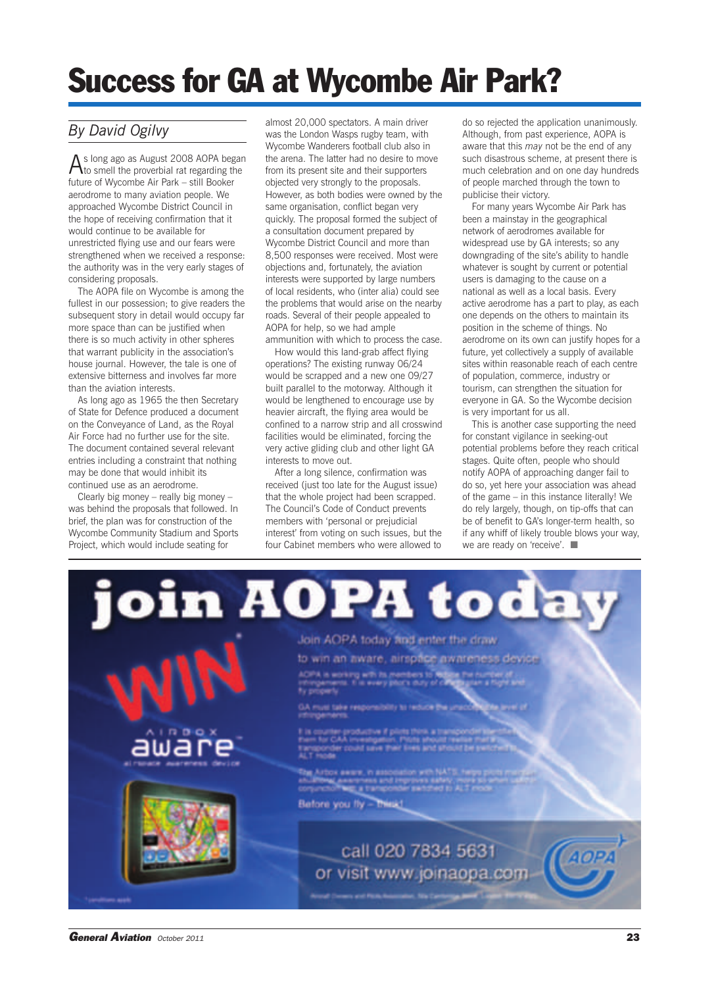# **Success for GA at Wycombe Air Park?**

#### *By David Ogilvy*

As long ago as August <sup>2008</sup> AOPA began to smell the proverbial rat regarding the future of Wycombe Air Park – still Booker aerodrome to many aviation people. We approached Wycombe District Council in the hope of receiving confirmation that it would continue to be available for unrestricted flying use and our fears were strengthened when we received a response: the authority was in the very early stages of considering proposals.

The AOPA file on Wycombe is among the fullest in our possession; to give readers the subsequent story in detail would occupy far more space than can be justified when there is so much activity in other spheres that warrant publicity in the association's house journal. However, the tale is one of extensive bitterness and involves far more than the aviation interests.

As long ago as 1965 the then Secretary of State for Defence produced a document on the Conveyance of Land, as the Royal Air Force had no further use for the site. The document contained several relevant entries including a constraint that nothing may be done that would inhibit its continued use as an aerodrome.

Clearly big money – really big money – was behind the proposals that followed. In brief, the plan was for construction of the Wycombe Community Stadium and Sports Project, which would include seating for

almost 20,000 spectators. A main driver was the London Wasps rugby team, with Wycombe Wanderers football club also in the arena. The latter had no desire to move from its present site and their supporters objected very strongly to the proposals. However, as both bodies were owned by the same organisation, conflict began very quickly. The proposal formed the subject of a consultation document prepared by Wycombe District Council and more than 8,500 responses were received. Most were objections and, fortunately, the aviation interests were supported by large numbers of local residents, who (inter alia) could see the problems that would arise on the nearby roads. Several of their people appealed to AOPA for help, so we had ample ammunition with which to process the case.

How would this land-grab affect flying operations? The existing runway 06/24 would be scrapped and a new one 09/27 built parallel to the motorway. Although it would be lengthened to encourage use by heavier aircraft, the flying area would be confined to a narrow strip and all crosswind facilities would be eliminated, forcing the very active gliding club and other light GA interests to move out.

After a long silence, confirmation was received (just too late for the August issue) that the whole project had been scrapped. The Council's Code of Conduct prevents members with 'personal or prejudicial interest' from voting on such issues, but the four Cabinet members who were allowed to

do so rejected the application unanimously. Although, from past experience, AOPA is aware that this *may* not be the end of any such disastrous scheme, at present there is much celebration and on one day hundreds of people marched through the town to publicise their victory.

For many years Wycombe Air Park has been a mainstay in the geographical network of aerodromes available for widespread use by GA interests; so any downgrading of the site's ability to handle whatever is sought by current or potential users is damaging to the cause on a national as well as a local basis. Every active aerodrome has a part to play, as each one depends on the others to maintain its position in the scheme of things. No aerodrome on its own can justify hopes for a future, yet collectively a supply of available sites within reasonable reach of each centre of population, commerce, industry or tourism, can strengthen the situation for everyone in GA. So the Wycombe decision is very important for us all.

This is another case supporting the need for constant vigilance in seeking-out potential problems before they reach critical stages. Quite often, people who should notify AOPA of approaching danger fail to do so, yet here your association was ahead of the game – in this instance literally! We do rely largely, though, on tip-offs that can be of benefit to GA's longer-term health, so if any whiff of likely trouble blows your way, we are ready on 'receive'. ■

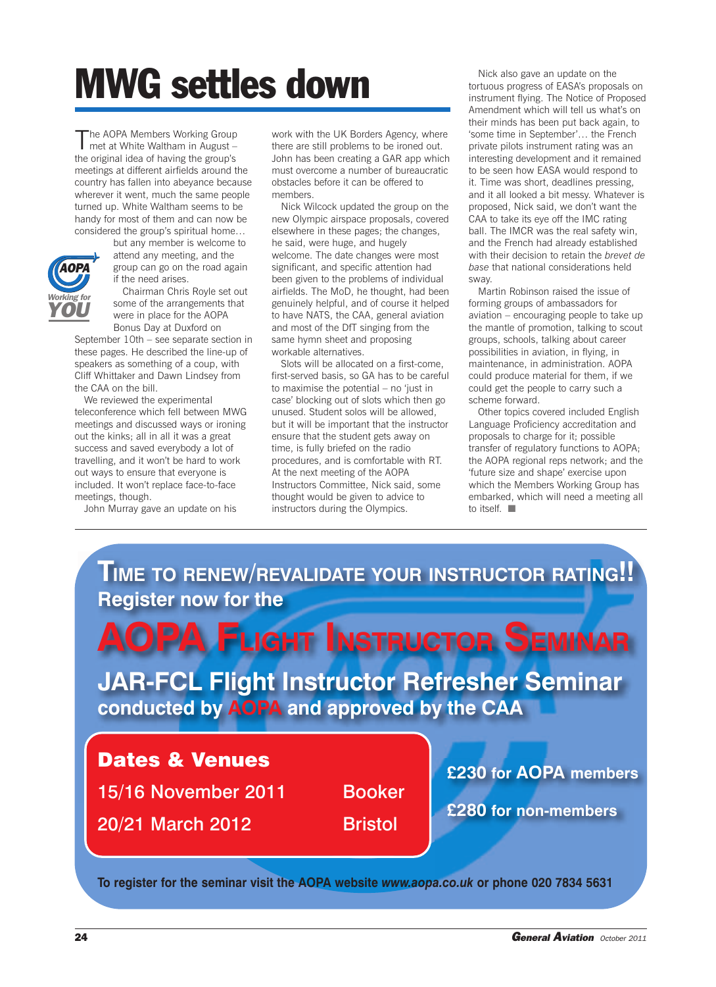# **MWG settles down**

The AOPA Members Working Group met at White Waltham in August – the original idea of having the group's meetings at different airfields around the country has fallen into abeyance because wherever it went, much the same people turned up. White Waltham seems to be handy for most of them and can now be considered the group's spiritual home…



but any member is welcome to attend any meeting, and the group can go on the road again if the need arises.

Chairman Chris Royle set out some of the arrangements that were in place for the AOPA Bonus Day at Duxford on

September 10th – see separate section in these pages. He described the line-up of speakers as something of a coup, with Cliff Whittaker and Dawn Lindsey from the CAA on the bill.

We reviewed the experimental teleconference which fell between MWG meetings and discussed ways or ironing out the kinks; all in all it was a great success and saved everybody a lot of travelling, and it won't be hard to work out ways to ensure that everyone is included. It won't replace face-to-face meetings, though.

John Murray gave an update on his

work with the UK Borders Agency, where there are still problems to be ironed out. John has been creating a GAR app which must overcome a number of bureaucratic obstacles before it can be offered to members.

Nick Wilcock updated the group on the new Olympic airspace proposals, covered elsewhere in these pages; the changes, he said, were huge, and hugely welcome. The date changes were most significant, and specific attention had been given to the problems of individual airfields. The MoD, he thought, had been genuinely helpful, and of course it helped to have NATS, the CAA, general aviation and most of the DfT singing from the same hymn sheet and proposing workable alternatives.

Slots will be allocated on a first-come, first-served basis, so GA has to be careful to maximise the potential – no 'just in case' blocking out of slots which then go unused. Student solos will be allowed, but it will be important that the instructor ensure that the student gets away on time, is fully briefed on the radio procedures, and is comfortable with RT. At the next meeting of the AOPA Instructors Committee, Nick said, some thought would be given to advice to instructors during the Olympics.

Nick also gave an update on the tortuous progress of EASA's proposals on instrument flying. The Notice of Proposed Amendment which will tell us what's on their minds has been put back again, to 'some time in September'… the French private pilots instrument rating was an interesting development and it remained to be seen how EASA would respond to it. Time was short, deadlines pressing, and it all looked a bit messy. Whatever is proposed, Nick said, we don't want the CAA to take its eye off the IMC rating ball. The IMCR was the real safety win, and the French had already established with their decision to retain the *brevet de base* that national considerations held sway.

Martin Robinson raised the issue of forming groups of ambassadors for aviation – encouraging people to take up the mantle of promotion, talking to scout groups, schools, talking about career possibilities in aviation, in flying, in maintenance, in administration. AOPA could produce material for them, if we could get the people to carry such a scheme forward.

Other topics covered included English Language Proficiency accreditation and proposals to charge for it; possible transfer of regulatory functions to AOPA; the AOPA regional reps network; and the 'future size and shape' exercise upon which the Members Working Group has embarked, which will need a meeting all to itself.